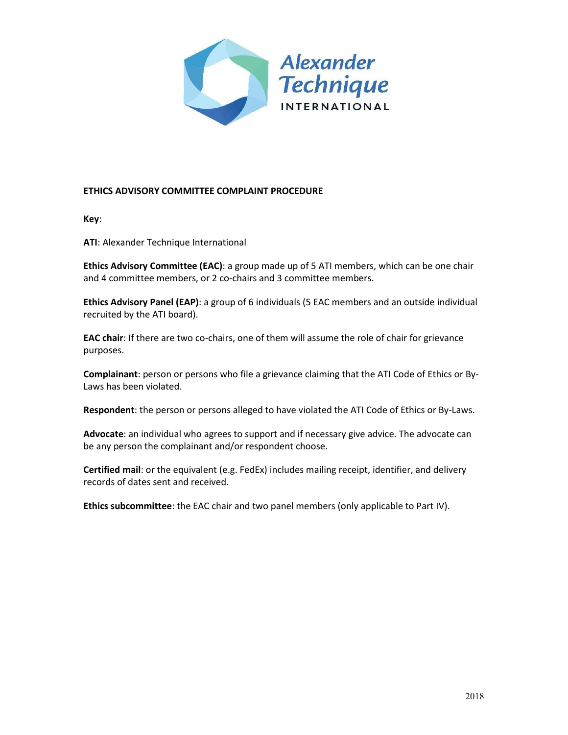

### **ETHICS ADVISORY COMMITTEE COMPLAINT PROCEDURE**

**Key**:

**ATI**: Alexander Technique International

**Ethics Advisory Committee (EAC)**: a group made up of 5 ATI members, which can be one chair and 4 committee members, or 2 co-chairs and 3 committee members.

**Ethics Advisory Panel (EAP)**: a group of 6 individuals (5 EAC members and an outside individual recruited by the ATI board).

**EAC chair**: If there are two co-chairs, one of them will assume the role of chair for grievance purposes.

**Complainant**: person or persons who file a grievance claiming that the ATI Code of Ethics or By-Laws has been violated.

**Respondent**: the person or persons alleged to have violated the ATI Code of Ethics or By-Laws.

**Advocate**: an individual who agrees to support and if necessary give advice. The advocate can be any person the complainant and/or respondent choose.

**Certified mail**: or the equivalent (e.g. FedEx) includes mailing receipt, identifier, and delivery records of dates sent and received.

**Ethics subcommittee**: the EAC chair and two panel members (only applicable to Part IV).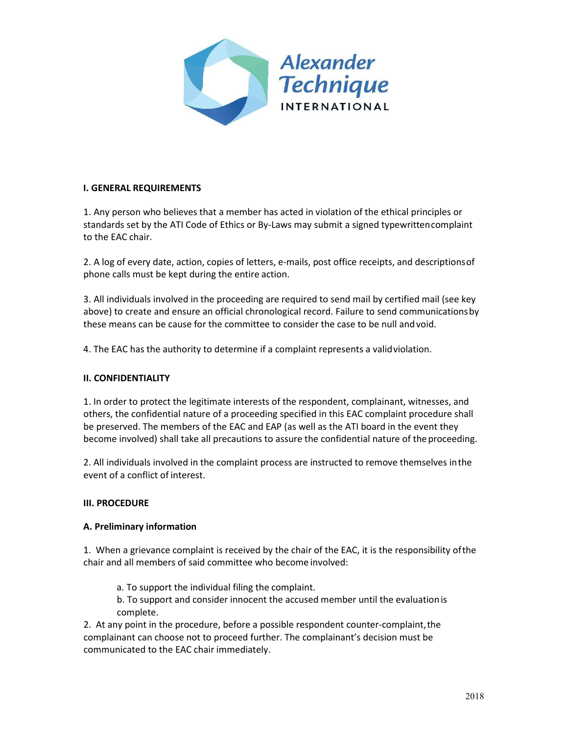

# **I. GENERAL REQUIREMENTS**

1. Any person who believes that a member has acted in violation of the ethical principles or standards set by the ATI Code of Ethics or By-Laws may submit a signed typewrittencomplaint to the EAC chair.

2. A log of every date, action, copies of letters, e-mails, post office receipts, and descriptionsof phone calls must be kept during the entire action.

3. All individuals involved in the proceeding are required to send mail by certified mail (see key above) to create and ensure an official chronological record. Failure to send communicationsby these means can be cause for the committee to consider the case to be null andvoid.

4. The EAC has the authority to determine if a complaint represents a validviolation.

### **II. CONFIDENTIALITY**

1. In order to protect the legitimate interests of the respondent, complainant, witnesses, and others, the confidential nature of a proceeding specified in this EAC complaint procedure shall be preserved. The members of the EAC and EAP (as well as the ATI board in the event they become involved) shall take all precautions to assure the confidential nature of the proceeding.

2. All individuals involved in the complaint process are instructed to remove themselves inthe event of a conflict of interest.

### **III. PROCEDURE**

### **A. Preliminary information**

1. When a grievance complaint is received by the chair of the EAC, it is the responsibility ofthe chair and all members of said committee who become involved:

a. To support the individual filing the complaint.

b. To support and consider innocent the accused member until the evaluationis complete.

2. At any point in the procedure, before a possible respondent counter-complaint,the complainant can choose not to proceed further. The complainant's decision must be communicated to the EAC chair immediately.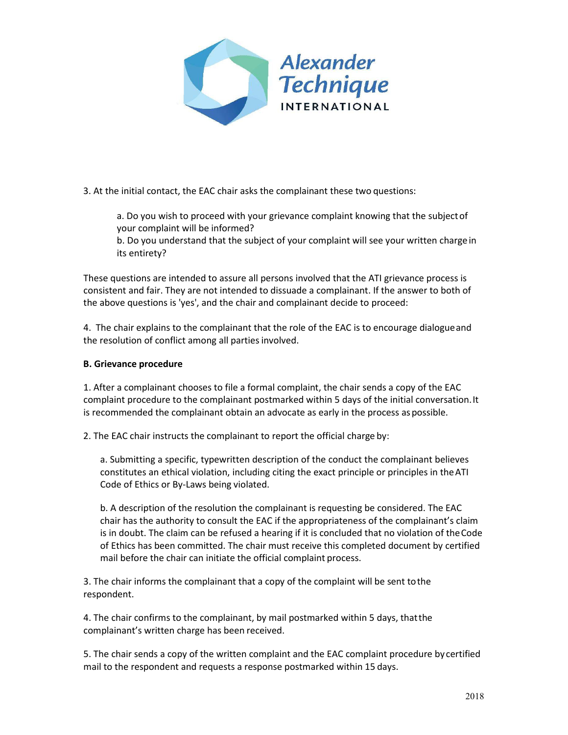

3. At the initial contact, the EAC chair asks the complainant these two questions:

a. Do you wish to proceed with your grievance complaint knowing that the subjectof your complaint will be informed?

b. Do you understand that the subject of your complaint will see your written charge in its entirety?

These questions are intended to assure all persons involved that the ATI grievance process is consistent and fair. They are not intended to dissuade a complainant. If the answer to both of the above questions is 'yes', and the chair and complainant decide to proceed:

4. The chair explains to the complainant that the role of the EAC is to encourage dialogueand the resolution of conflict among all parties involved.

# **B. Grievance procedure**

1. After a complainant chooses to file a formal complaint, the chair sends a copy of the EAC complaint procedure to the complainant postmarked within 5 days of the initial conversation.It is recommended the complainant obtain an advocate as early in the process as possible.

2. The EAC chair instructs the complainant to report the official charge by:

a. Submitting a specific, typewritten description of the conduct the complainant believes constitutes an ethical violation, including citing the exact principle or principles in theATI Code of Ethics or By-Laws being violated.

b. A description of the resolution the complainant is requesting be considered. The EAC chair has the authority to consult the EAC if the appropriateness of the complainant's claim is in doubt. The claim can be refused a hearing if it is concluded that no violation of theCode of Ethics has been committed. The chair must receive this completed document by certified mail before the chair can initiate the official complaint process.

3. The chair informs the complainant that a copy of the complaint will be sent tothe respondent.

4. The chair confirms to the complainant, by mail postmarked within 5 days, thatthe complainant's written charge has been received.

5. The chair sends a copy of the written complaint and the EAC complaint procedure by certified mail to the respondent and requests a response postmarked within 15 days.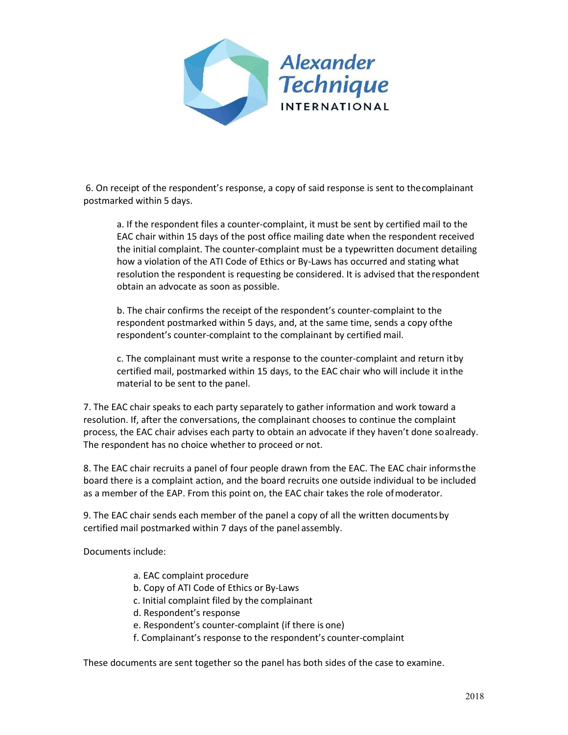

6. On receipt of the respondent's response, a copy of said response is sent to thecomplainant postmarked within 5 days.

a. If the respondent files a counter-complaint, it must be sent by certified mail to the EAC chair within 15 days of the post office mailing date when the respondent received the initial complaint. The counter-complaint must be a typewritten document detailing how a violation of the ATI Code of Ethics or By-Laws has occurred and stating what resolution the respondent is requesting be considered. It is advised that therespondent obtain an advocate as soon as possible.

b. The chair confirms the receipt of the respondent's counter-complaint to the respondent postmarked within 5 days, and, at the same time, sends a copy ofthe respondent's counter-complaint to the complainant by certified mail.

c. The complainant must write a response to the counter-complaint and return itby certified mail, postmarked within 15 days, to the EAC chair who will include it inthe material to be sent to the panel.

7. The EAC chair speaks to each party separately to gather information and work toward a resolution. If, after the conversations, the complainant chooses to continue the complaint process, the EAC chair advises each party to obtain an advocate if they haven't done soalready. The respondent has no choice whether to proceed or not.

8. The EAC chair recruits a panel of four people drawn from the EAC. The EAC chair informsthe board there is a complaint action, and the board recruits one outside individual to be included as a member of the EAP. From this point on, the EAC chair takes the role ofmoderator.

9. The EAC chair sends each member of the panel a copy of all the written documentsby certified mail postmarked within 7 days of the panel assembly.

Documents include:

- a. EAC complaint procedure
- b. Copy of ATI Code of Ethics or By-Laws
- c. Initial complaint filed by the complainant
- d. Respondent's response
- e. Respondent's counter-complaint (if there is one)
- f. Complainant's response to the respondent's counter-complaint

These documents are sent together so the panel has both sides of the case to examine.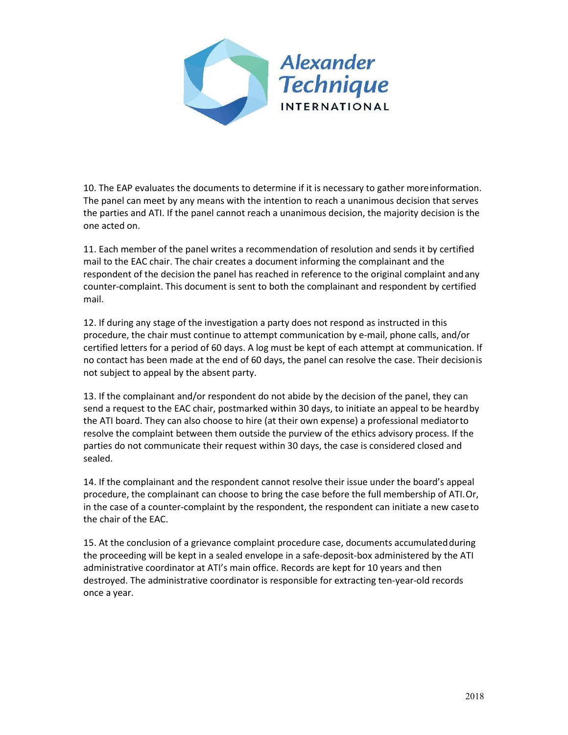

10. The EAP evaluates the documents to determine if it is necessary to gather moreinformation. The panel can meet by any means with the intention to reach a unanimous decision that serves the parties and ATI. If the panel cannot reach a unanimous decision, the majority decision is the one acted on.

11. Each member of the panel writes a recommendation of resolution and sends it by certified mail to the EAC chair. The chair creates a document informing the complainant and the respondent of the decision the panel has reached in reference to the original complaint andany counter-complaint. This document is sent to both the complainant and respondent by certified mail.

12. If during any stage of the investigation a party does not respond as instructed in this procedure, the chair must continue to attempt communication by e-mail, phone calls, and/or certified letters for a period of 60 days. A log must be kept of each attempt at communication. If no contact has been made at the end of 60 days, the panel can resolve the case. Their decisionis not subject to appeal by the absent party.

13. If the complainant and/or respondent do not abide by the decision of the panel, they can send a request to the EAC chair, postmarked within 30 days, to initiate an appeal to be heardby the ATI board. They can also choose to hire (at their own expense) a professional mediatorto resolve the complaint between them outside the purview of the ethics advisory process. If the parties do not communicate their request within 30 days, the case is considered closed and sealed.

14. If the complainant and the respondent cannot resolve their issue under the board's appeal procedure, the complainant can choose to bring the case before the full membership of ATI.Or, in the case of a counter-complaint by the respondent, the respondent can initiate a new caseto the chair of the EAC.

15. At the conclusion of a grievance complaint procedure case, documents accumulatedduring the proceeding will be kept in a sealed envelope in a safe-deposit-box administered by the ATI administrative coordinator at ATI's main office. Records are kept for 10 years and then destroyed. The administrative coordinator is responsible for extracting ten-year-old records once a year.